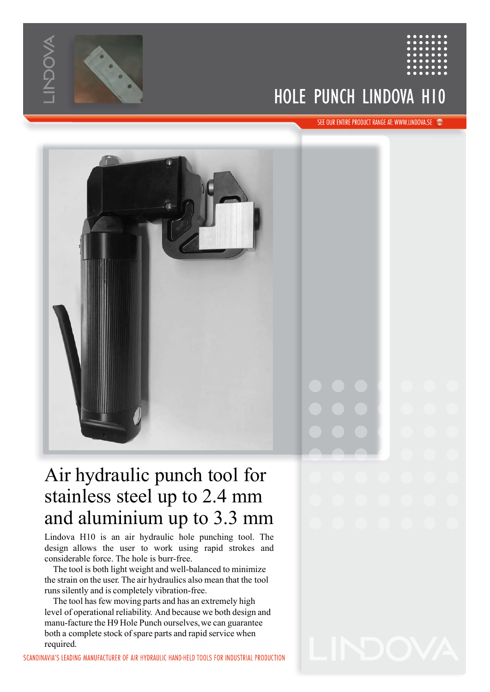

## HOLE PUNCH LINDOVA H10



Lindova H10 is an air hydraulic hole punching tool. The design allows the user to work using rapid strokes and considerable force. The hole is burr-free.

The tool is both light weight and well-balanced to minimize the strain on the user. The air hydraulics also mean that the tool runs silently and is completely vibration-free.

The tool has few moving parts and has an extremely high level of operational reliability. And because we both design and manu-facture the H9 Hole Punch ourselves, we can guarantee both a complete stock of spare parts and rapid service when<br>required.<br>IAVIA'S LEADING MANUFACTURER OF AIR HYDRAUIIC HAND-HELD TOOLS FOR INDUSTRIAL PRODUCTION required.

SCANDINAVIA'S LEADING MANUFACTURER OF AIR HYDRAULIC HAND-HELD TOOLS FOR INDUSTRIAL PRODUCTION